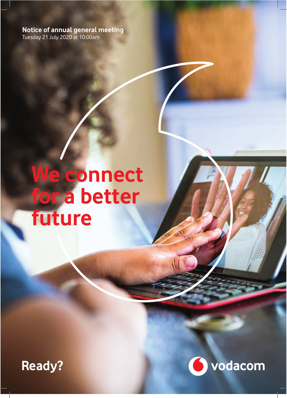**Notice of annual general meeting** Tuesday 21 July 2020 at 10:00am

# We connect **for a better future**



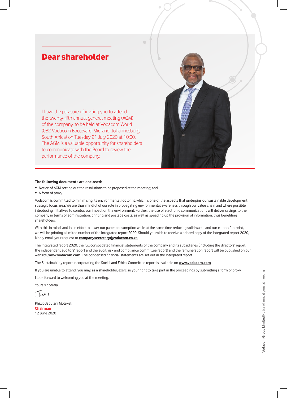## Dear shareholder

I have the pleasure of inviting you to attend the twenty-fifth annual general meeting (AGM) of the company, to be held at Vodacom World (082 Vodacom Boulevard, Midrand, Johannesburg, South Africa) on Tuesday 21 July 2020 at 10:00. The AGM is a valuable opportunity for shareholders to communicate with the Board to review the performance of the company.

#### **The following documents are enclosed:**

- Notice of AGM setting out the resolutions to be proposed at the meeting; and
- A form of proxy.

Vodacom is committed to minimising its environmental footprint, which is one of the aspects that underpins our sustainable development strategic focus area. We are thus mindful of our role in propagating environmental awareness through our value chain and where possible introducing initiatives to combat our impact on the environment. Further, the use of electronic communications will deliver savings to the company in terms of administration, printing and postage costs, as well as speeding up the provision of information, thus benefiting shareholders.

With this in mind, and in an effort to lower our paper consumption while at the same time reducing solid waste and our carbon footprint, we will be printing a limited number of the Integrated report 2020. Should you wish to receive a printed copy of the Integrated report 2020, kindly email your request to **companysecretary@vodacom.co.za**

The Integrated report 2020, the full consolidated financial statements of the company and its subsidiaries (including the directors' report, the independent auditors' report and the audit, risk and compliance committee report) and the remuneration report will be published on our website, **www.vodacom.com**. The condensed financial statements are set out in the Integrated report.

The Sustainability report incorporating the Social and Ethics Committee report is available on **www.vodacom.com**

If you are unable to attend, you may, as a shareholder, exercise your right to take part in the proceedings by submitting a form of proxy.

I look forward to welcoming you at the meeting.

Yours sincerely

 $\bigcap_{\alpha}$ by

Phillip Jabulani Moleketi **Chairman** 12 June 2020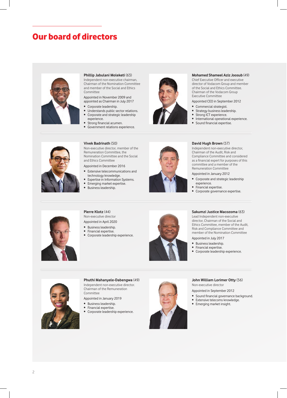## Our board of directors



#### **Phillip Jabulani Moleketi** (63)

Independent non-executive chairman, Chairman of the Nomination Committee and member of the Social and Ethics **Committee** 

Appointed in November 2009 and appointed as Chairman in July 2017

- Corporate leadership.
- Understands public sector relations. • Corporate and strategic leadership experience.
- Strong financial acumen.
- Government relations experience.



#### **Mohamed Shameel Aziz Joosub** (49)

Chief Executive Officer and executive director of Vodacom Group and member of the Social and Ethics Committee. Chairman of the Vodacom Group Executive Committee

#### Appointed CEO in September 2012

- Commercial strategist.
- Strategy business leadership.
- Strong ICT experience.
- International operational experience.<br>• Sound financial expertise
- Sound financial expertise.



#### **Vivek Badrinath** (50)

Non-executive director, member of the Remuneration Committee, the Nomination Committee and the Social and Ethics Committee

Appointed in December 2016

- Extensive telecommunications and technology knowledge.
- Expertise in Information Systems. • Emerging market expertise.
- Business leadership.



#### **David Hugh Brown** (57)

Independent non-executive director, Chairman of the Audit, Risk and Compliance Committee and considered as a financial expert for purposes of this committee and a member of the Remuneration Committee

#### Appointed in January 2012

- Corporate and strategic leadership experience.
- Financial expertise.
- Corporate governance expertise.



#### **Pierre Klotz** (44) Non-executive director

Appointed in April 2020

- Business leadership.
- Financial expertise.
- Corporate leadership experience.



#### **Sakumzi Justice Macozoma** (63)

Lead Independent non-executive director, Chairman of the Social and Ethics Committee, member of the Audit, Risk and Compliance Committee and member of the Nomination Committee

- Appointed in July 2017
- Business leadership.
- Financial expertise.
- Corporate leadership experience.



## **Phuthi Mahanyele-Dabengwa** (49)

Independent non-executive director. Chairman of the Remuneration **Committee** 

Appointed in January 2019

- Business leadership.
- Financial expertise.
- Corporate leadership experience.



#### **John William Lorimer Otty** (56) Non-executive director

Appointed in September 2012

- Sound financial governance background.
- Extensive telecoms knowledge.
- Emerging market insight.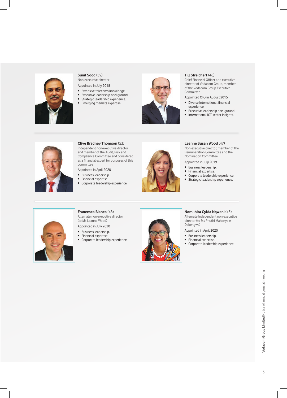

#### **Sunil Sood** (59)

Non executive director Appointed in July 2018

- Extensive telecoms knowledge.
- Executive leadership background.
- Strategic leadership experience.
- Emerging markets expertise.



#### **Till Streichert** (46)

Chief Financial Officer and executive director of Vodacom Group, member of the Vodacom Group Executive **Committee** 

- Appointed CFO in August 2015
- Diverse international financial experience.
- Executive leadership background.
- International ICT sector insights.



#### **Clive Bradney Thomson** (53)

Independent non-executive director and member of the Audit, Risk and Compliance Committee and considered as a financial expert for purposes of this committee

Appointed in April 2020

- Business leadership.
- Financial expertise.
- Corporate leadership experience.



#### **Leanne Susan Wood** (47)

Non-executive director, member of the Remuneration Committee and the Nomination Committee

Appointed in July 2019

- Business leadership.
- Financial expertise.
- Corporate leadership experience.
- Strategic leadership experience.



#### **Francesco Bianco** (48) Alternate non-executive director (to Ms Leanne Wood)

Appointed in July 2020

- Business leadership.
- Financial expertise.
- Corporate leadership experience.



#### **Nomkhita Cylda Nqweni** (45)

Alternate Independent non-executive director (to Ms Phuthi Mahanyele-Dabengwa)

- Appointed in April 2020
- Business leadership.
- Financial expertise.
- Corporate leadership experience.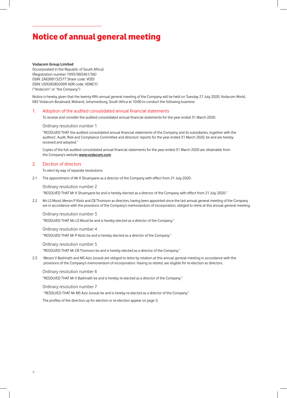#### **Vodacom Group Limited**

(Incorporated in the Republic of South Africa) (Registration number 1993/005461/06) (ISIN: ZAE000132577 Share code: VOD) (ISIN: US92858D2009 ADR code: VDMCY) ("Vodacom" or "the Company")

Notice is hereby given that the twenty-fifth annual general meeting of the Company will be held on Tuesday 21 July 2020, Vodacom World, 082 Vodacom Boulevard, Midrand, Johannesburg, South Africa at 10:00 to conduct the following business:

#### 1. Adoption of the audited consolidated annual financial statements

To receive and consider the audited consolidated annual financial statements for the year ended 31 March 2020.

#### Ordinary resolution number 1

 "RESOLVED THAT the audited consolidated annual financial statements of the Company and its subsidiaries, together with the auditors', Audit, Risk and Compliance Committee and directors' reports for the year ended 31 March 2020, be and are hereby received and adopted."

Copies of the full audited consolidated annual financial statements for the year ended 31 March 2020 are obtainable from the Company's website **www.vodacom.com**.

#### 2. Election of directors

To elect by way of separate resolutions:

2.1 The appointment of Mr K Shuenyane as a director of the Company with effect from 21 July 2020.

Ordinary resolution number 2 "RESOLVED THAT Mr K Shuenyane be and is hereby elected as a director of the Company with effect from 21 July 2020."

2.2 Ms LS Wood, Messrs P Klotz and CB Thomson as directors, having been appointed since the last annual general meeting of the Company are in accordance with the provisions of the Company's memorandum of incorporation, obliged to retire at this annual general meeting.

Ordinary resolution number 3 "RESOLVED THAT Ms LS Wood be and is hereby elected as a director of the Company."

Ordinary resolution number 4 "RESOLVED THAT Mr P Klotz be and is hereby elected as a director of the Company."

Ordinary resolution number 5 "RESOLVED THAT Mr CB Thomson be and is hereby elected as a director of the Company."

2.3 Messrs V Badrinath and MS Aziz Joosub are obliged to retire by rotation at this annual general meeting in accordance with the provisions of the Company's memorandum of incorporation. Having so retired, are eligible for re-election as directors.

Ordinary resolution number 6

"RESOLVED THAT Mr V Badrinath be and is hereby re-elected as a director of the Company."

Ordinary resolution number 7

"RESOLVED THAT Mr MS Aziz Joosub be and is hereby re-elected as a director of the Company."

The profiles of the directors up for election or re-election appear on page 5: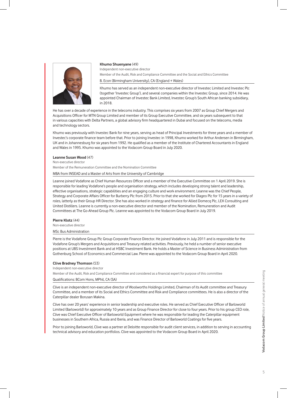

#### **Khumo Shuenyane** (49)

Independent non-executive director Member of the Audit, Risk and Compliance Committee and the Social and Ethics Committee B. Econ (Birmingham University), CA (England + Wales)

Khumo has served as an independent non-executive director of Investec Limited and Investec Plc (together 'Investec Group'), and several companies within the Investec Group, since 2014. He was appointed Chairman of Investec Bank Limited, Investec Group's South African banking subsidiary, in 2018.

He has over a decade of experience in the telecoms industry. This comprises six years from 2007 as Group Chief Mergers and Acquisitions Officer for MTN Group Limited and member of its Group Executive Committee, and six years subsequent to that in various capacities with Delta Partners, a global advisory firm headquartered in Dubai and focused on the telecoms, media and technology sectors.

Khumo was previously with Investec Bank for nine years, serving as head of Principal Investments for three years and a member of Investec's corporate finance team before that. Prior to joining Investec in 1998, Khumo worked for Arthur Andersen in Birmingham, UK and in Johannesburg for six years from 1992. He qualified as a member of the Institute of Chartered Accountants in England and Wales in 1995. Khumo was appointed to the Vodacom Group Board in July 2020.

#### **Leanne Susan Wood** (47)

Non-executive director

Member of the Remuneration Committee and the Nomination Committee

MBA from INSEAD and a Master of Arts from the University of Cambridge

Leanne joined Vodafone as Chief Human Resources Officer and a member of the Executive Committee on 1 April 2019. She is responsible for leading Vodafone's people and organisation strategy, which includes developing strong talent and leadership, effective organisations, strategic capabilities and an engaging culture and work environment. Leanne was the Chief People, Strategy and Corporate Affairs Officer for Burberry Plc from 2015. Prior to that she worked for Diageo Plc for 15 years in a variety of roles, latterly as their Group HR Director. She has also worked in strategy and finance for Allied Domecq Plc, LEK Consulting and United Distillers. Leanne is currently a non-executive director and member of the Nomination, Remuneration and Audit Committees at The Go-Ahead Group Plc. Leanne was appointed to the Vodacom Group Board in July 2019.

#### **Pierre Klotz** (44)

Non-executive director

#### MSc Bus Administration

Pierre is the Vodafone Group Plc Group Corporate Finance Director. He joined Vodafone in July 2011 and is responsible for the Vodafone Group's Mergers and Acquisitions and Treasury related activities. Previously, he held a number of senior executive positions at UBS Investment Bank and at HSBC Investment Bank. He holds a Master of Science in Business Administration from Gothenburg School of Economics and Commercial Law. Pierre was appointed to the Vodacom Group Board in April 2020.

#### **Clive Bradney Thomson** (53)

Independent non-executive director

Member of the Audit, Risk and Compliance Committee and considered as a financial expert for purpose of this committee

#### Qualifications: BCom Hons, MPhil, CA (SA)

Clive is an independent non-executive director of Woolworths Holdings Limited, Chairman of its Audit committee and Treasury Committee, and a member of its Social and Ethics Committee and Risk and Compliance committees. He is also a director of the Caterpillar dealer Borusan Makina.

Clive has over 20 years' experience in senior leadership and executive roles. He served as Chief Executive Officer of Barloworld Limited (Barloworld) for approximately 10 years and as Group Finance Director for close to four years. Prior to his group CEO role, Clive was Chief Executive Officer of Barloworld Equipment where he was responsible for leading the Caterpillar equipment businesses in Southern Africa, Russia and Iberia, and was Finance Director of Barloworld Coatings for five years.

Prior to joining Barloworld, Clive was a partner at Deloitte responsible for audit client services, in addition to serving in accounting technical advisory and education portfolios. Clive was appointed to the Vodacom Group Board in April 2020.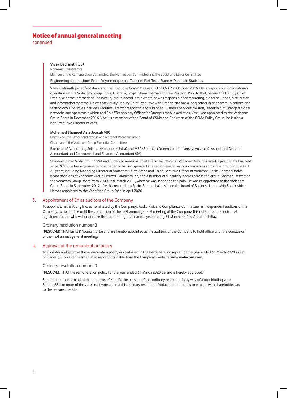continued

#### **Vivek Badrinath** (50)

Non-executive director

Member of the Remuneration Committee, the Nomination Committee and the Social and Ethics Committee

Engineering degrees from Ecole Polytechnique and Telecom ParisTech (France), Degree in Statistics

Vivek Badrinath joined Vodafone and the Executive Committee as CEO of AMAP in October 2016. He is responsible for Vodafone's operations in the Vodacom Group, India, Australia, Egypt, Ghana, Kenya and New Zealand. Prior to that, he was the Deputy Chief Executive at the international hospitality group AccorHotels where he was responsible for marketing, digital solutions, distribution and information systems. He was previously Deputy Chief Executive with Orange and has a long career in telecommunications and technology. Prior roles include Executive Director responsible for Orange's Business Services division, leadership of Orange's global networks and operators division and Chief Technology Officer for Orange's mobile activities. Vivek was appointed to the Vodacom Group Board in December 2016. Vivek is a member of the Board of GSMA and Chairman of the GSMA Policy Group, he is also a non-Executive Director of Atos.

#### **Mohamed Shameel Aziz Joosub** (49)

Chief Executive Officer and executive director of Vodacom Group

Chairman of the Vodacom Group Executive Committee

 Bachelor of Accounting Science (Honours) (Unisa) and MBA (Southern Queensland University, Australia), Associated General Accountant and Commercial and Financial Accountant (SA)

Shameel joined Vodacom in 1994 and currently serves as Chief Executive Officer at Vodacom Group Limited, a position he has held since 2012. He has extensive telco experience having operated at a senior level in various companies across the group for the last 22 years, including Managing Director at Vodacom South Africa and Chief Executive Officer at Vodafone Spain. Shameel holds board positions at Vodacom Group Limited, Safaricom Plc, and a number of subsidiary boards across the group. Shameel served on the Vodacom Group Board from 2000 until March 2011, when he was seconded to Spain. He was re-appointed to the Vodacom Group Board in September 2012 after his return from Spain. Shameel also sits on the board of Business Leadership South Africa. He was appointed to the Vodafone Group Exco in April 2020.

#### 3. Appointment of EY as auditors of the Company

 To appoint Ernst & Young Inc. as nominated by the Company's Audit, Risk and Compliance Committee, as independent auditors of the Company, to hold office until the conclusion of the next annual general meeting of the Company. It is noted that the individual registered auditor who will undertake the audit during the financial year ending 31 March 2021 is Vinodhan Pillay.

#### Ordinary resolution number 8

 "RESOLVED THAT Ernst & Young Inc. be and are hereby appointed as the auditors of the Company to hold office until the conclusion of the next annual general meeting."

#### 4. Approval of the remuneration policy

 To consider and approve the remuneration policy as contained in the Remuneration report for the year ended 31 March 2020 as set on pages 66 to 77 of the Integrated report obtainable from the Company's website **www.vodacom.com**.

#### Ordinary resolution number 9

"RESOLVED THAT the remuneration policy for the year ended 31 March 2020 be and is hereby approved."

Shareholders are reminded that in terms of King IV, the passing of this ordinary resolution is by way of a non-binding vote. Should 25% or more of the votes cast vote against this ordinary resolution, Vodacom undertakes to engage with shareholders as to the reasons therefor.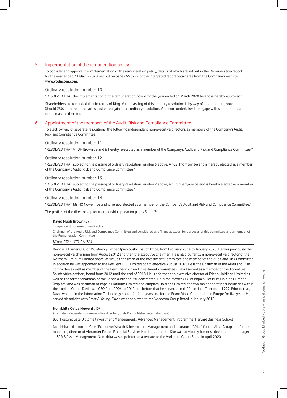#### 5. Implementation of the remuneration policy

 To consider and approve the implementation of the remuneration policy, details of which are set out in the Remuneration report for the year ended 31 March 2020, set out on pages 66 to 77 of the Integrated report obtainable from the Company's website **www.vodacom.com**.

#### Ordinary resolution number 10

"RESOLVED THAT the implementation of the remuneration policy for the year ended 31 March 2020 be and is hereby approved."

Shareholders are reminded that in terms of King IV, the passing of this ordinary resolution is by way of a non-binding vote. Should 25% or more of the votes cast vote against this ordinary resolution, Vodacom undertakes to engage with shareholders as to the reasons therefor.

#### 6. Appointment of the members of the Audit, Risk and Compliance Committee

 To elect, by way of separate resolutions, the following independent non-executive directors, as members of the Company's Audit, Risk and Compliance Committee:

#### Ordinary resolution number 11

"RESOLVED THAT Mr DH Brown be and is hereby re-elected as a member of the Company's Audit and Risk and Compliance Committee."

#### Ordinary resolution number 12

 "RESOLVED THAT, subject to the passing of ordinary resolution number 5 above, Mr CB Thomson be and is hereby elected as a member of the Company's Audit, Risk and Compliance Committee."

#### Ordinary resolution number 13

 "RESOLVED THAT, subject to the passing of ordinary resolution number 2 above, Mr K Shuenyane be and is hereby elected as a member of the Company's Audit, Risk and Compliance Committee."

Ordinary resolution number 14

"RESOLVED THAT, Ms NC Ngweni be and is hereby elected as a member of the Company's Audit and Risk and Compliance Committee."

The profiles of the directors up for membership appear on pages 5 and 7:

#### **David Hugh Brown** (57)

Independent non-executive director

Chairman of the Audit, Risk and Compliance Committee and considered as a financial expert for purposes of this committee and a member of the Remuneration Committee

#### BCom, CTA (UCT), CA (SA)

David is a former CEO of MC Mining Limited (previously Coal of Africa) from February 2014 to January 2020. He was previously the non-executive chairman from August 2012 and then the executive chairman. He is also currently a non-executive director of the Northam Platinum Limited board, as well as chairman of the Investment Committee and member of the Audit and Risk Committee. In addition he was appointed to the Resilient REIT Limited board effective August 2018. He is the Chairman of the Audit and Risk committee as well as member of the Remuneration and Investment committees. David served as a member of the Accenture South Africa advisory board from 2012 until the end of 2018. He is a former non-executive director of Edcon Holdings Limited as well as the former chairman of the Edcon audit and risk committee. He is the former CEO of Impala Platinum Holdings Limited (Implats) and was chairman of Impala Platinum Limited and Zimplats Holdings Limited, the two major operating subsidiaries within the Implats Group. David was CEO from 2006 to 2012 and before that he served as chief financial officer from 1999. Prior to that, David worked in the Information Technology sector for four years and for the Exxon Mobil Corporation in Europe for five years. He served his articles with Ernst & Young. David was appointed to the Vodacom Group Board in January 2012.

#### **Nomkhita Cylda Nqweni** (45)

Alternate Independent non-executive director (to Ms Phuthi Mahanyele-Dabengwa)

BSc, Postgraduate Diploma (Investment Management), Advanced Management Programme, Harvard Business School

Nomkhita is the former Chief Executive: Wealth & Investment Management and Insurance (Africa) for the Absa Group and former managing director of Alexander Forbes Financial Services Holdings Limited. She was previously business development manager at SCMB Asset Management. Nomkhita was appointed as alternate to the Vodacom Group Board in April 2020.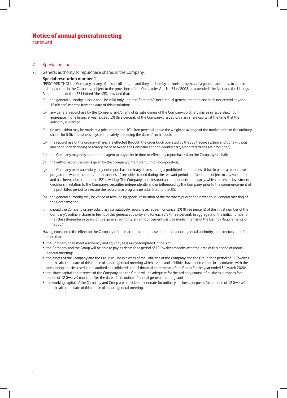continued

#### 7. Special business

7.1 General authority to repurchase shares in the Company.

#### **Special resolution number 1**

 "RESOLVED THAT the Company, or any of its subsidiaries, be and they are hereby authorised, by way of a general authority, to acquire ordinary shares in the Company, subject to the provisions of the Companies Act, No 71 of 2008, as amended (the Act), and the Listings Requirements of the JSE Limited (the JSE), provided that:

- (a) the general authority in issue shall be valid only until the Company's next annual general meeting and shall not extend beyond 15 (fifteen) months from the date of this resolution;
- (b) any general repurchase by the Company and/or any of its subsidiaries of the Company's ordinary shares in issue shall not in aggregate in one financial year exceed 5% (five percent) of the Company's issued ordinary share capital at the time that the authority is granted;
- (c) no acquisition may be made at a price more than 10% (ten percent) above the weighted average of the market price of the ordinary shares for 5 (five) business days immediately preceding the date of such acquisition;
- (d) the repurchase of the ordinary shares are effected through the order book operated by the JSE trading system and done without any prior understanding or arrangement between the Company and the counterparty (reported trades are prohibited);
- (e) the Company may only appoint one agent at any point in time to effect any repurchase(s) on the Company's behalf;
- (f) the authorisation thereto is given by the Company's memorandum of incorporation;
- (g) the Company or its subsidiary may not repurchase ordinary shares during a prohibited period unless it has in place a repurchase programme where the dates and quantities of securities traded during the relevant period are fixed (not subject to any variation) and has been submitted to the JSE in writing. The Company must instruct an independent third party, which makes its investment decisions in relation to the Company's securities independently and uninfluenced by the Company, prior to the commencement of the prohibited period to execute the repurchase programme submitted to the JSE;
- (h) the general authority may be varied or revoked by special resolution of the members prior to the next annual general meeting of the Company; and
- (i) should the Company or any subsidiary cumulatively repurchase, redeem or cancel 3% (three percent) of the initial number of the Company's ordinary shares in terms of this general authority and for each 3% (three percent) in aggregate of the initial number of that class thereafter in terms of this general authority, an announcement shall be made in terms of the Listings Requirements of the JSE."

Having considered the effect on the Company of the maximum repurchase under this annual general authority, the directors are of the opinion that:

- the Company shall meet a solvency and liquidity test as contemplated in the Act;
- the Company and the Group will be able to pay its debts for a period of 12 (twelve) months after the date of this notice of annual general meeting;
- the assets of the Company and the Group will be in excess of the liabilities of the Company and the Group for a period of 12 (twelve) months after the date of this notice of annual general meeting which assets and liabilities have been valued in accordance with the accounting policies used in the audited consolidated annual financial statements of the Group for the year ended 31 March 2020;
- the share capital and reserves of the Company and the Group will be adequate for the ordinary course of business purposes for a period of 12 (twelve) months after the date of this notice of annual general meeting; and
- the working capital of the Company and Group are considered adequate for ordinary business purposes for a period of 12 (twelve) months after the date of this notice of annual general meeting.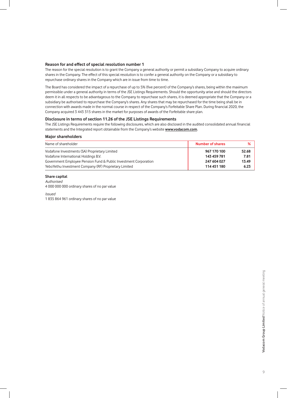#### **Reason for and effect of special resolution number 1**

 The reason for the special resolution is to grant the Company a general authority or permit a subsidiary Company to acquire ordinary shares in the Company. The effect of this special resolution is to confer a general authority on the Company or a subsidiary to repurchase ordinary shares in the Company which are in issue from time to time.

The Board has considered the impact of a repurchase of up to 5% (five percent) of the Company's shares, being within the maximum permissible under a general authority in terms of the JSE Listings Requirements. Should the opportunity arise and should the directors deem it in all respects to be advantageous to the Company to repurchase such shares, it is deemed appropriate that the Company or a subsidiary be authorised to repurchase the Company's shares. Any shares that may be repurchased for the time being shall be in connection with awards made in the normal course in respect of the Company's Forfeitable Share Plan. During financial 2020, the Company acquired 3 443 315 shares in the market for purposes of awards of the Forfeitable share plan.

#### **Disclosure in terms of section 11.26 of the JSE Listings Requirements**

 The JSE Listings Requirements require the following disclosures, which are also disclosed in the audited consolidated annual financial statements and the Integrated report obtainable from the Company's website **www.vodacom.com**.

#### **Major shareholders**

| Name of shareholder                                              | <b>Number of shares</b> | ℅     |
|------------------------------------------------------------------|-------------------------|-------|
| Vodafone Investments (SA) Proprietary Limited                    | 967 170 100             | 52.68 |
| Vodafone International Holdings B.V.                             | 143 459 781             | 7.81  |
| Government Employee Pension Fund & Public Investment Corporation | 247 604 027             | 13.49 |
| YeboYethu Investment Company (RF) Proprietary Limited            | 114 451 180             | 6.23  |

#### **Share capital**

Authorised 4 000 000 000 ordinary shares of no par value

Issued

1 835 864 961 ordinary shares of no par value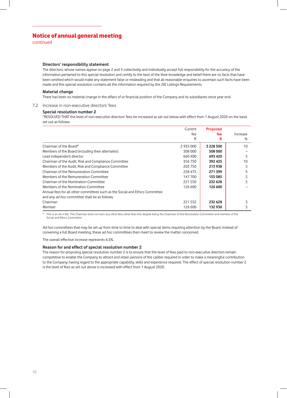continued

#### **Directors' responsibility statement**

 The directors, whose names appear on page 2 and 3 collectively and individually accept full responsibility for the accuracy of the information pertained to this special resolution and certify to the best of the their knowledge and belief there are no facts that have been omitted which would make any statement false or misleading and that all reasonable enquiries to ascertain such facts have been made and this special resolution contains all the information required by the JSE Listings Requirements.

#### **Material change**

There has been no material change in the affairs of or financial position of the Company and its subsidiaries since year end.

#### 7.2 Increase in non-executive directors' fees

#### **Special resolution number 2**

 "RESOLVED THAT the level of non-executive directors' fees be increased as set out below with effect from 1 August 2020 on the basis set out as follows:

|                                                                              | Current | <b>Proposed</b> |          |
|------------------------------------------------------------------------------|---------|-----------------|----------|
|                                                                              | fee     | fee             | Increase |
|                                                                              | R       | R               | $\%$     |
| Chairman of the Board*                                                       | 2935000 | 3 228 500       | 10       |
| Members of the Board (including their alternates)                            | 508 000 | 508 000         |          |
| Lead independent director                                                    | 660400  | 693 420         |          |
| Chairman of the Audit, Risk and Compliance Committee                         | 356750  | 392 425         | 10       |
| Members of the Audit, Risk and Compliance Committee                          | 203 750 | 213938          |          |
| Chairman of the Remuneration Committee                                       | 258 475 | 271399          |          |
| Members of the Remuneration Committee                                        | 147 700 | 155 085         |          |
| Chairman of the Nomination Committee                                         | 221 550 | 232 628         |          |
| Members of the Nomination Committee                                          | 126 600 | 126 600         |          |
| Annual fees for all other committees such as the Social and Ethics Committee |         |                 |          |
| and any ad hoc committee shall be as follows:                                |         |                 |          |
| Chairman                                                                     | 221 552 | 232 628         |          |
| Member                                                                       | 126 600 | 132 930         |          |

\* This is an all in fee. The Chairman does not earn any other fees other than this despite being the Chairman of the Nomination Committee and member of the Social and Ethics Committee.

Ad hoc committees that may be set up from time to time to deal with special items requiring attention by the Board. Instead of convening a full Board meeting, these ad hoc committees then meet to review the matter concerned.

The overall effective increase represents 6.5%.

#### **Reason for and effect of special resolution number 2**

 The reason for proposing special resolution number 2 is to ensure that the level of fees paid to non-executive directors remain competitive to enable the Company to attract and retain persons of the caliber required in order to make a meaningful contribution to the Company, having regard to the appropriate capability, skills and experience required. The effect of special resolution number 2 is the level of fees as set out above is increased with effect from 1 August 2020.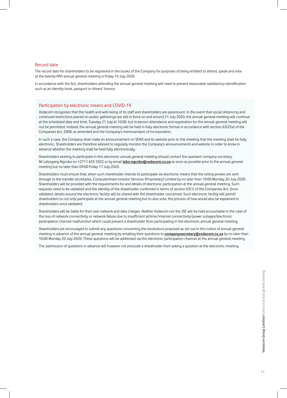#### Record date

The record date for shareholders to be registered in the books of the Company for purposes of being entitled to attend, speak and vote at the twenty-fifth annual general meeting is Friday 10 July 2020.

In accordance with the Act, shareholders attending the annual general meeting will need to present reasonable satisfactory identification such as an identity book, passport or drivers' licence.

#### Participation by electronic means and COVID-19

Vodacom recognises that the health and well-being of its staff and shareholders are paramount. In the event that social distancing and continued restrictions placed on public gatherings are still in force on and around 21 July 2020, the annual general meeting will continue at the scheduled date and time, Tuesday 21 July at 10:00, but in-person attendance and registration for the annual general meeting will not be permitted. Instead, the annual general meeting will be held in fully electronic format in accordance with section 63(2)(a) of the Companies Act, 2008, as amended and the Company's memorandum of incorporation.

In such a case, the Company shall make an announcement on SENS and its website prior to the meeting that the meeting shall be fully electronic. Shareholders are therefore advised to regularly monitor the Company's announcements and website in order to know in advance whether the meeting shall be held fully electronically.

Shareholders wishing to participate in this electronic annual general meeting should contact the assistant company secretary, Mr Lebogang Ngcobo on +2711 653 5922 or by email **lebo.ngcobo@vodacom.co.za** as soon as possible prior to the annual general meeting but no later than 09:00 Friday 17 July 2020.

Shareholders must ensure that, when such shareholder intends to participate via electronic means that the voting proxies are sent through to the transfer secretaries, Computershare Investor Services (Proprietary) Limited by no later than 10:00 Monday 20 July 2020. Shareholders will be provided with the requirements for and details of electronic participation at the annual general meeting. Such requests need to be validated and the identity of the shareholder confirmed in terms of section 63(1) of the Companies Act. Once validated, details around the electronic facility will be shared with the shareholder concerned. Such electronic facility will permit shareholders to not only participate at the annual general meeting but to also vote, the process of how would also be explained to shareholders once validated.

Shareholders will be liable for their own network and data charges. Neither Vodacom nor the JSE will be held accountable in the case of the loss of network connectivity or network failure due to insufficient airtime/internet connectivity/power outages/electronic participation channel malfunction which could prevent a shareholder from participating in the electronic annual general meeting.

Shareholders are encouraged to submit any questions concerning the resolutions proposed as set out in this notice of annual general meeting in advance of the annual general meeting by emailing their questions to **companysecretary@vodacom.co.za** by no later than 10:00 Monday 20 July 2020. These questions will be addressed via the electronic participation channel at the annual general meeting.

The submission of questions in advance will however not preclude a shareholder from asking a question at the electronic meeting.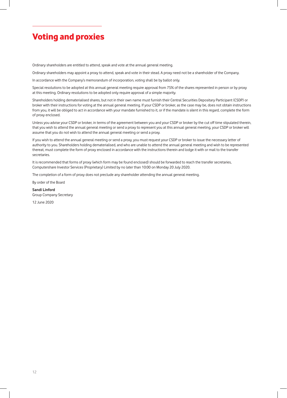## Voting and proxies

Ordinary shareholders are entitled to attend, speak and vote at the annual general meeting.

Ordinary shareholders may appoint a proxy to attend, speak and vote in their stead. A proxy need not be a shareholder of the Company.

In accordance with the Company's memorandum of incorporation, voting shall be by ballot only.

Special resolutions to be adopted at this annual general meeting require approval from 75% of the shares represented in person or by proxy at this meeting. Ordinary resolutions to be adopted only require approval of a simple majority.

Shareholders holding dematerialised shares, but not in their own name must furnish their Central Securities Depositary Participant (CSDP) or broker with their instructions for voting at the annual general meeting. If your CSDP or broker, as the case may be, does not obtain instructions from you, it will be obliged to act in accordance with your mandate furnished to it, or if the mandate is silent in this regard, complete the form of proxy enclosed.

Unless you advise your CSDP or broker, in terms of the agreement between you and your CSDP or broker by the cut off time stipulated therein, that you wish to attend the annual general meeting or send a proxy to represent you at this annual general meeting, your CSDP or broker will assume that you do not wish to attend the annual general meeting or send a proxy.

If you wish to attend the annual general meeting or send a proxy, you must request your CSDP or broker to issue the necessary letter of authority to you. Shareholders holding dematerialised, and who are unable to attend the annual general meeting and wish to be represented thereat, must complete the form of proxy enclosed in accordance with the instructions therein and lodge it with or mail to the transfer secretaries.

It is recommended that forms of proxy (which form may be found enclosed) should be forwarded to reach the transfer secretaries, Computershare Investor Services (Proprietary) Limited by no later than 10:00 on Monday 20 July 2020.

The completion of a form of proxy does not preclude any shareholder attending the annual general meeting.

By order of the Board

**Sandi Linford**  Group Company Secretary

12 June 2020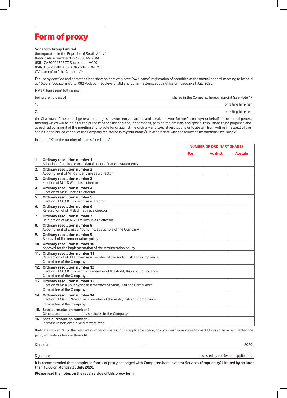

#### **Vodacom Group Limited**

(Incorporated in the Republic of South Africa) (Registration number 1993/005461/06) (ISIN: ZAE000132577 Share code: VOD) (ISIN: US92858D2009 ADR code: VDMCY) ("Vodacom" or "the Company")

For use by certified and dematerialised shareholders who have "own name" registration of securities at the annual general meeting to be held at 10:00 at Vodacom World, 082 Vodacom Boulevard, Midrand, Johannesburg, South Africa on Tuesday 21 July 2020.

I/We (Please print full names)

| being the holders of | shares in the Company, hereby appoint (see Note 1) |  |
|----------------------|----------------------------------------------------|--|
|                      | or failing him/her,                                |  |
| Z.                   | or failing him/her,                                |  |

the Chairman of the annual general meeting as my/our proxy to attend and speak and vote for me/us on my/our behalf at the annual general meeting which will be held for the purpose of considering and, if deemed fit, passing the ordinary and special resolutions to be proposed and at each adjournment of the meeting and to vote for or against the ordinary and special resolutions or to abstain from voting in respect of the shares in the issued capital of the Company registered in my/our name/s, in accordance with the following instructions (see Note 2).

Insert an "X" or the number of shares (see Note 2)

|                  |                                                                                                                                           | <b>NUMBER OF ORDINARY SHARES</b> |                |                |
|------------------|-------------------------------------------------------------------------------------------------------------------------------------------|----------------------------------|----------------|----------------|
|                  |                                                                                                                                           | For                              | <b>Against</b> | <b>Abstain</b> |
| $\mathbf{1}$ .   | Ordinary resolution number 1<br>Adoption of audited consolidated annual financial statements                                              |                                  |                |                |
| 2.               | Ordinary resolution number 2<br>Appointment of Mr K Shuenyane as a director                                                               |                                  |                |                |
| 3.               | Ordinary resolution number 3<br>Election of Ms LS Wood as a director                                                                      |                                  |                |                |
| 4.               | Ordinary resolution number 4<br>Election of Mr P Klotz as a director                                                                      |                                  |                |                |
| 5.               | Ordinary resolution number 5<br>Election of Mr CB Thomson, as a director                                                                  |                                  |                |                |
| 6.               | Ordinary resolution number 6<br>Re-election of Mr V Badrinath as a director                                                               |                                  |                |                |
| $\overline{7}$ . | Ordinary resolution number 7<br>Re-election of Mr MS Aziz Joosub as a director                                                            |                                  |                |                |
| 8.               | Ordinary resolution number 8<br>Appointment of Ernst & Young Inc. as auditors of the Company                                              |                                  |                |                |
| 9.               | Ordinary resolution number 9<br>Approval of the remuneration policy                                                                       |                                  |                |                |
|                  | 10. Ordinary resolution number 10<br>Approval for the implementation of the remuneration policy                                           |                                  |                |                |
|                  | 11. Ordinary resolution number 11<br>Re-election of Mr DH Brown as a member of the Audit, Risk and Compliance<br>Committee of the Company |                                  |                |                |
|                  | 12. Ordinary resolution number 12<br>Election of Mr CB Thomson as a member of the Audit, Risk and Compliance<br>Committee of the Company  |                                  |                |                |
|                  | 13. Ordinary resolution number 13<br>Election of Mr K Shuenyane as a member of Audit, Risk and Compliance<br>Committee of the Company     |                                  |                |                |
|                  | 14. Ordinary resolution number 14<br>Election of Ms NC Ngweni as a member of the Audit, Risk and Compliance                               |                                  |                |                |
|                  | Committee of the Company                                                                                                                  |                                  |                |                |
|                  | 15. Special resolution number 1<br>General authority to repurchase shares in the Company                                                  |                                  |                |                |
|                  | 16. Special resolution number 2<br>Increase in non-executive directors' fees                                                              |                                  |                |                |

(Indicate with an "X" or the relevant number of shares, in the applicable space, how you wish your votes to cast). Unless otherwise directed the proxy will vote as he/she thinks fit.

Signature assisted by me (where applicable) assisted by me (where applicable)

**It is recommended that completed forms of proxy be lodged with Computershare Investor Services (Proprietary) Limited by no later than 10:00 on Monday 20 July 2020.**

**Please read the notes on the reverse side of this proxy form.**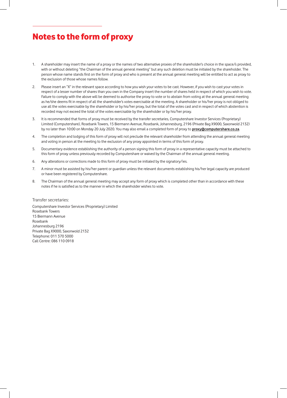## Notes to the form of proxy

- 1. A shareholder may insert the name of a proxy or the names of two alternative proxies of the shareholder's choice in the space/s provided, with or without deleting "the Chairman of the annual general meeting" but any such deletion must be initialed by the shareholder. The person whose name stands first on the form of proxy and who is present at the annual general meeting will be entitled to act as proxy to the exclusion of those whose names follow.
- 2. Please insert an "X" in the relevant space according to how you wish your votes to be cast. However, if you wish to cast your votes in respect of a lesser number of shares than you own in the Company insert the number of shares held in respect of which you wish to vote. Failure to comply with the above will be deemed to authorise the proxy to vote or to abstain from voting at the annual general meeting as he/she deems fit in respect of all the shareholder's votes exercisable at the meeting. A shareholder or his/her proxy is not obliged to use all the votes exercisable by the shareholder or by his/her proxy, but the total of the votes cast and in respect of which abstention is recorded may not exceed the total of the votes exercisable by the shareholder or by his/her proxy.
- 3. It is recommended that forms of proxy must be received by the transfer secretaries, Computershare Investor Services (Proprietary) Limited (Computershare), Rosebank Towers, 15 Biermann Avenue, Rosebank, Johannesburg, 2196 (Private Bag X9000, Saxonwold 2132) by no later than 10:00 on Monday 20 July 2020. You may also email a completed form of proxy to **proxy@computershare.co.za**.
- 4. The completion and lodging of this form of proxy will not preclude the relevant shareholder from attending the annual general meeting and voting in person at the meeting to the exclusion of any proxy appointed in terms of this form of proxy.
- 5. Documentary evidence establishing the authority of a person signing this form of proxy in a representative capacity must be attached to this form of proxy unless previously recorded by Computershare or waived by the Chairman of the annual general meeting.
- 6. Any alterations or corrections made to this form of proxy must be initialed by the signatory/ies.
- 7. A minor must be assisted by his/her parent or guardian unless the relevant documents establishing his/her legal capacity are produced or have been registered by Computershare.
- 8. The Chairman of the annual general meeting may accept any form of proxy which is completed other than in accordance with these notes if he is satisfied as to the manner in which the shareholder wishes to vote.

#### Transfer secretaries:

Computershare Investor Services (Proprietary) Limited Rosebank Towers 15 Biermann Avenue Rosebank Johannesburg 2196 Private Bag X9000, Saxonwold 2132 Telephone: 011 370 5000 Call Centre: 086 110 0918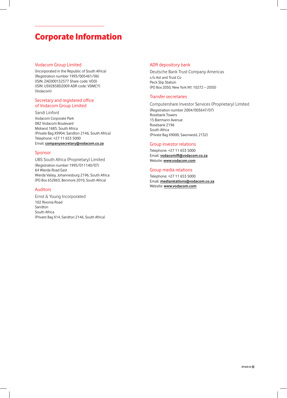## Corporate Information

#### Vodacom Group Limited

(Incorporated in the Republic of South Africa) (Registration number 1993/005461/06) (ISIN: ZAE000132577 Share code: VOD) (ISIN: US92858D2009 ADR code: VDMCY) (Vodacom)

#### Secretary and registered office of Vodacom Group Limited

Sandi Linford Vodacom Corporate Park 082 Vodacom Boulevard Midrand 1685, South Africa (Private Bag X9904, Sandton 2146, South Africa) Telephone: +27 11 653 5000 Email: **companysecretary@vodacom.co.za**

#### Sponsor

UBS South Africa (Proprietary) Limited (Registration number 1995/011140/07) 64 Wierda Road East Wierda Valley, Johannesburg 2196, South Africa (PO Box 652863, Benmore 2010, South Africa)

#### Auditors

Ernst & Young Incorporated 102 Rivonia Road Sandton South Africa (Private Bag X14, Sandton 2146, South Africa)

#### ADR depository bank

Deutsche Bank Trust Company Americas c/o Ast and Trust Co Peck Slip Station (PO Box 2050, New York NY, 10272 – 2050)

#### Transfer secretaries

Computershare Investor Services (Proprietary) Limited (Registration number 2004/003647/07) Rosebank Towers 15 Biermann Avenue Rosebank 2196 South Africa (Private Bag X9000, Saxonwold, 2132)

#### Group investor relations

Telephone: +27 11 653 5000 Email: **vodacomIR@vodacom.co.za** Website: **www.vodacom.com**

#### Group media relations

Telephone: +27 11 653 5000 Email: **mediarelations@vodacom.co.za** Website: **www.vodacom.com**